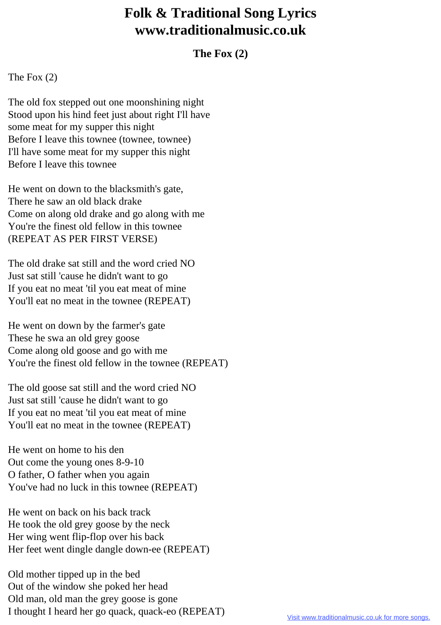## **Folk & Traditional Song Lyrics www.traditionalmusic.co.uk**

## **The Fox (2)**

The Fox (2)

The old fox stepped out one moonshining night Stood upon his hind feet just about right I'll have some meat for my supper this night Before I leave this townee (townee, townee) I'll have some meat for my supper this night Before I leave this townee

He went on down to the blacksmith's gate, There he saw an old black drake Come on along old drake and go along with me You're the finest old fellow in this townee (REPEAT AS PER FIRST VERSE)

The old drake sat still and the word cried NO Just sat still 'cause he didn't want to go If you eat no meat 'til you eat meat of mine You'll eat no meat in the townee (REPEAT)

He went on down by the farmer's gate These he swa an old grey goose Come along old goose and go with me You're the finest old fellow in the townee (REPEAT)

The old goose sat still and the word cried NO Just sat still 'cause he didn't want to go If you eat no meat 'til you eat meat of mine You'll eat no meat in the townee (REPEAT)

He went on home to his den Out come the young ones 8-9-10 O father, O father when you again You've had no luck in this townee (REPEAT)

He went on back on his back track He took the old grey goose by the neck Her wing went flip-flop over his back Her feet went dingle dangle down-ee (REPEAT)

Old mother tipped up in the bed Out of the window she poked her head Old man, old man the grey goose is gone I thought I heard her go quack, quack-eo (REPEAT)